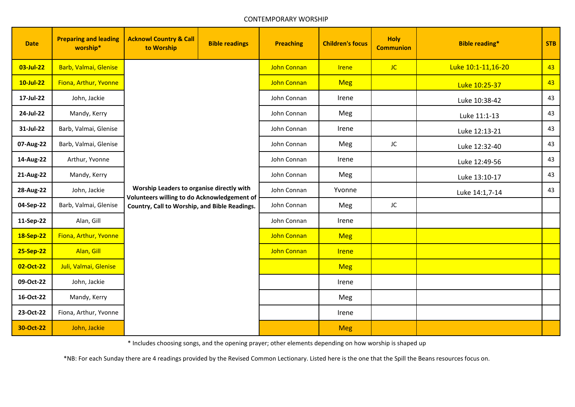## CONTEMPORARY WORSHIP

| <b>Date</b>  | <b>Preparing and leading</b><br>worship* | <b>Acknowl Country &amp; Call</b><br>to Worship                                                                                           | <b>Bible readings</b> | <b>Preaching</b>   | <b>Children's focus</b> | <b>Holy</b><br><b>Communion</b> | <b>Bible reading*</b> | <b>STB</b> |
|--------------|------------------------------------------|-------------------------------------------------------------------------------------------------------------------------------------------|-----------------------|--------------------|-------------------------|---------------------------------|-----------------------|------------|
| 03-Jul-22    | Barb, Valmai, Glenise                    | Worship Leaders to organise directly with<br>Volunteers willing to do Acknowledgement of<br>Country, Call to Worship, and Bible Readings. |                       | <b>John Connan</b> | <b>Irene</b>            | JC                              | Luke 10:1-11,16-20    | 43         |
| $10$ -Jul-22 | Fiona, Arthur, Yvonne                    |                                                                                                                                           |                       | <b>John Connan</b> | <b>Meg</b>              |                                 | Luke 10:25-37         | 43         |
| 17-Jul-22    | John, Jackie                             |                                                                                                                                           |                       | John Connan        | Irene                   |                                 | Luke 10:38-42         | 43         |
| 24-Jul-22    | Mandy, Kerry                             |                                                                                                                                           |                       | John Connan        | Meg                     |                                 | Luke 11:1-13          | 43         |
| 31-Jul-22    | Barb, Valmai, Glenise                    |                                                                                                                                           |                       | John Connan        | Irene                   |                                 | Luke 12:13-21         | 43         |
| 07-Aug-22    | Barb, Valmai, Glenise                    |                                                                                                                                           |                       | John Connan        | Meg                     | JC                              | Luke 12:32-40         | 43         |
| 14-Aug-22    | Arthur, Yvonne                           |                                                                                                                                           |                       | John Connan        | Irene                   |                                 | Luke 12:49-56         | 43         |
| 21-Aug-22    | Mandy, Kerry                             |                                                                                                                                           |                       | John Connan        | Meg                     |                                 | Luke 13:10-17         | 43         |
| 28-Aug-22    | John, Jackie                             |                                                                                                                                           |                       | John Connan        | Yvonne                  |                                 | Luke 14:1,7-14        | 43         |
| 04-Sep-22    | Barb, Valmai, Glenise                    |                                                                                                                                           |                       | John Connan        | Meg                     | JC                              |                       |            |
| 11-Sep-22    | Alan, Gill                               |                                                                                                                                           |                       | John Connan        | Irene                   |                                 |                       |            |
| 18-Sep-22    | Fiona, Arthur, Yvonne                    |                                                                                                                                           |                       | <b>John Connan</b> | <b>Meg</b>              |                                 |                       |            |
| 25-Sep-22    | Alan, Gill                               |                                                                                                                                           |                       | <b>John Connan</b> | <b>Irene</b>            |                                 |                       |            |
| 02-Oct-22    | Juli, Valmai, Glenise                    |                                                                                                                                           |                       |                    | <b>Meg</b>              |                                 |                       |            |
| 09-Oct-22    | John, Jackie                             |                                                                                                                                           |                       |                    | Irene                   |                                 |                       |            |
| 16-Oct-22    | Mandy, Kerry                             |                                                                                                                                           |                       |                    | Meg                     |                                 |                       |            |
| 23-Oct-22    | Fiona, Arthur, Yvonne                    |                                                                                                                                           |                       |                    | Irene                   |                                 |                       |            |
| 30-Oct-22    | John, Jackie                             |                                                                                                                                           |                       |                    | <b>Meg</b>              |                                 |                       |            |

\* Includes choosing songs, and the opening prayer; other elements depending on how worship is shaped up

\*NB: For each Sunday there are 4 readings provided by the Revised Common Lectionary. Listed here is the one that the Spill the Beans resources focus on.